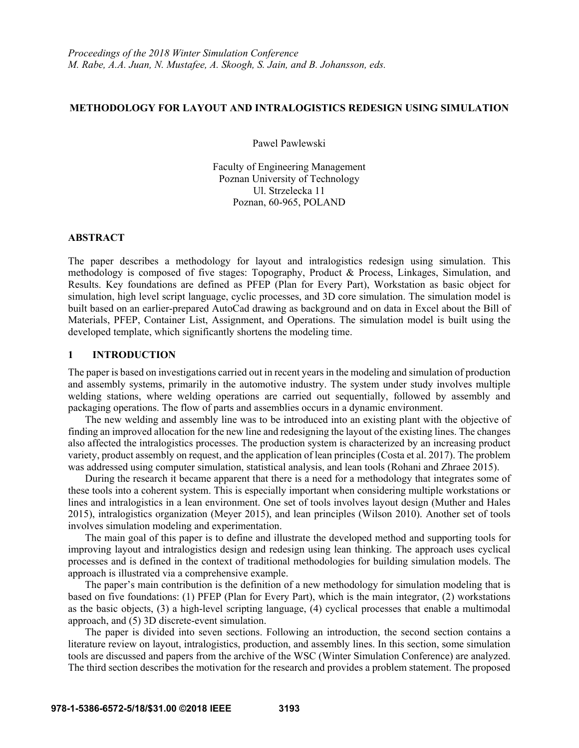### **METHODOLOGY FOR LAYOUT AND INTRALOGISTICS REDESIGN USING SIMULATION**

Pawel Pawlewski

Faculty of Engineering Management Poznan University of Technology Ul. Strzelecka 11 Poznan, 60-965, POLAND

### **ABSTRACT**

The paper describes a methodology for layout and intralogistics redesign using simulation. This methodology is composed of five stages: Topography, Product & Process, Linkages, Simulation, and Results. Key foundations are defined as PFEP (Plan for Every Part), Workstation as basic object for simulation, high level script language, cyclic processes, and 3D core simulation. The simulation model is built based on an earlier-prepared AutoCad drawing as background and on data in Excel about the Bill of Materials, PFEP, Container List, Assignment, and Operations. The simulation model is built using the developed template, which significantly shortens the modeling time.

# **1 INTRODUCTION**

The paper is based on investigations carried out in recent years in the modeling and simulation of production and assembly systems, primarily in the automotive industry. The system under study involves multiple welding stations, where welding operations are carried out sequentially, followed by assembly and packaging operations. The flow of parts and assemblies occurs in a dynamic environment.

 The new welding and assembly line was to be introduced into an existing plant with the objective of finding an improved allocation for the new line and redesigning the layout of the existing lines. The changes also affected the intralogistics processes. The production system is characterized by an increasing product variety, product assembly on request, and the application of lean principles (Costa et al. 2017). The problem was addressed using computer simulation, statistical analysis, and lean tools (Rohani and Zhraee 2015).

During the research it became apparent that there is a need for a methodology that integrates some of these tools into a coherent system. This is especially important when considering multiple workstations or lines and intralogistics in a lean environment. One set of tools involves layout design (Muther and Hales 2015), intralogistics organization (Meyer 2015), and lean principles (Wilson 2010). Another set of tools involves simulation modeling and experimentation.

The main goal of this paper is to define and illustrate the developed method and supporting tools for improving layout and intralogistics design and redesign using lean thinking. The approach uses cyclical processes and is defined in the context of traditional methodologies for building simulation models. The approach is illustrated via a comprehensive example.

The paper's main contribution is the definition of a new methodology for simulation modeling that is based on five foundations: (1) PFEP (Plan for Every Part), which is the main integrator, (2) workstations as the basic objects, (3) a high-level scripting language, (4) cyclical processes that enable a multimodal approach, and (5) 3D discrete-event simulation.

The paper is divided into seven sections. Following an introduction, the second section contains a literature review on layout, intralogistics, production, and assembly lines. In this section, some simulation tools are discussed and papers from the archive of the WSC (Winter Simulation Conference) are analyzed. The third section describes the motivation for the research and provides a problem statement. The proposed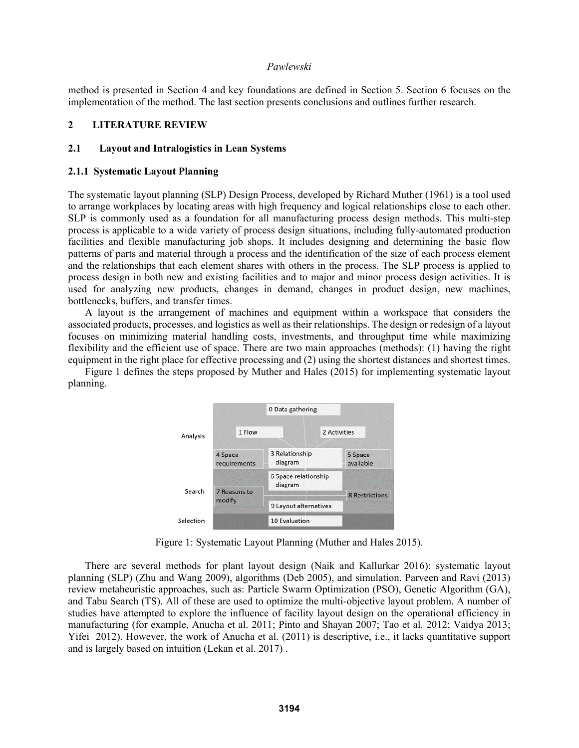method is presented in Section 4 and key foundations are defined in Section 5. Section 6 focuses on the implementation of the method. The last section presents conclusions and outlines further research.

### **2 LITERATURE REVIEW**

# **2.1 Layout and Intralogistics in Lean Systems**

#### **2.1.1 Systematic Layout Planning**

The systematic layout planning (SLP) Design Process, developed by Richard Muther (1961) is a tool used to arrange workplaces by locating areas with high frequency and logical relationships close to each other. SLP is commonly used as a foundation for all manufacturing process design methods. This multi-step process is applicable to a wide variety of process design situations, including fully-automated production facilities and flexible manufacturing job shops. It includes designing and determining the basic flow patterns of parts and material through a process and the identification of the size of each process element and the relationships that each element shares with others in the process. The SLP process is applied to process design in both new and existing facilities and to major and minor process design activities. It is used for analyzing new products, changes in demand, changes in product design, new machines, bottlenecks, buffers, and transfer times.

A layout is the arrangement of machines and equipment within a workspace that considers the associated products, processes, and logistics as well as their relationships. The design or redesign of a layout focuses on minimizing material handling costs, investments, and throughput time while maximizing flexibility and the efficient use of space. There are two main approaches (methods): (1) having the right equipment in the right place for effective processing and (2) using the shortest distances and shortest times.

Figure 1 defines the steps proposed by Muther and Hales (2015) for implementing systematic layout planning.



Figure 1: Systematic Layout Planning (Muther and Hales 2015).

There are several methods for plant layout design (Naik and Kallurkar 2016): systematic layout planning (SLP) (Zhu and Wang 2009), algorithms (Deb 2005), and simulation. Parveen and Ravi (2013) review metaheuristic approaches, such as: Particle Swarm Optimization (PSO), Genetic Algorithm (GA), and Tabu Search (TS). All of these are used to optimize the multi-objective layout problem. A number of studies have attempted to explore the influence of facility layout design on the operational efficiency in manufacturing (for example, Anucha et al. 2011; Pinto and Shayan 2007; Tao et al. 2012; Vaidya 2013; Yifei 2012). However, the work of Anucha et al. (2011) is descriptive, i.e., it lacks quantitative support and is largely based on intuition (Lekan et al. 2017) .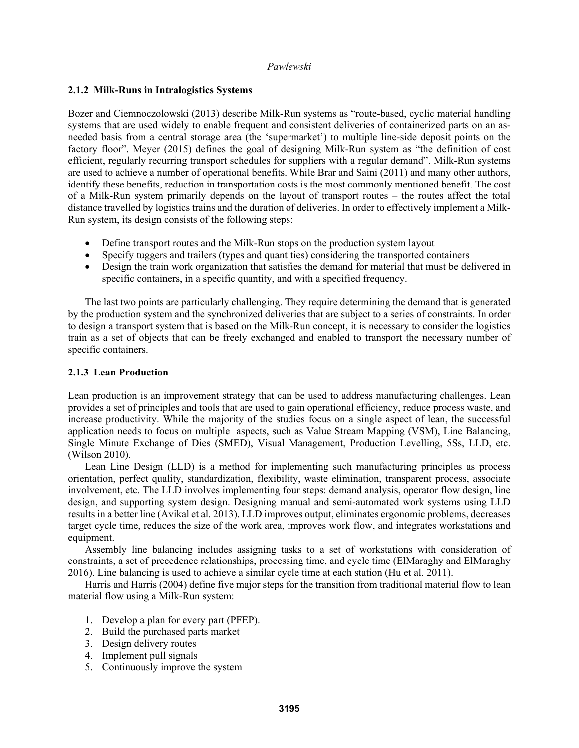# **2.1.2 Milk-Runs in Intralogistics Systems**

Bozer and Ciemnoczolowski (2013) describe Milk-Run systems as "route-based, cyclic material handling systems that are used widely to enable frequent and consistent deliveries of containerized parts on an asneeded basis from a central storage area (the 'supermarket') to multiple line-side deposit points on the factory floor". Meyer (2015) defines the goal of designing Milk-Run system as "the definition of cost efficient, regularly recurring transport schedules for suppliers with a regular demand". Milk-Run systems are used to achieve a number of operational benefits. While Brar and Saini (2011) and many other authors, identify these benefits, reduction in transportation costs is the most commonly mentioned benefit. The cost of a Milk-Run system primarily depends on the layout of transport routes – the routes affect the total distance travelled by logistics trains and the duration of deliveries. In order to effectively implement a Milk-Run system, its design consists of the following steps:

- Define transport routes and the Milk-Run stops on the production system layout
- Specify tuggers and trailers (types and quantities) considering the transported containers
- Design the train work organization that satisfies the demand for material that must be delivered in specific containers, in a specific quantity, and with a specified frequency.

 The last two points are particularly challenging. They require determining the demand that is generated by the production system and the synchronized deliveries that are subject to a series of constraints. In order to design a transport system that is based on the Milk-Run concept, it is necessary to consider the logistics train as a set of objects that can be freely exchanged and enabled to transport the necessary number of specific containers.

# **2.1.3 Lean Production**

Lean production is an improvement strategy that can be used to address manufacturing challenges. Lean provides a set of principles and tools that are used to gain operational efficiency, reduce process waste, and increase productivity. While the majority of the studies focus on a single aspect of lean, the successful application needs to focus on multiple aspects, such as Value Stream Mapping (VSM), Line Balancing, Single Minute Exchange of Dies (SMED), Visual Management, Production Levelling, 5Ss, LLD, etc. (Wilson 2010).

 Lean Line Design (LLD) is a method for implementing such manufacturing principles as process orientation, perfect quality, standardization, flexibility, waste elimination, transparent process, associate involvement, etc. The LLD involves implementing four steps: demand analysis, operator flow design, line design, and supporting system design. Designing manual and semi-automated work systems using LLD results in a better line (Avikal et al. 2013). LLD improves output, eliminates ergonomic problems, decreases target cycle time, reduces the size of the work area, improves work flow, and integrates workstations and equipment.

 Assembly line balancing includes assigning tasks to a set of workstations with consideration of constraints, a set of precedence relationships, processing time, and cycle time (ElMaraghy and ElMaraghy 2016). Line balancing is used to achieve a similar cycle time at each station (Hu et al. 2011).

 Harris and Harris (2004) define five major steps for the transition from traditional material flow to lean material flow using a Milk-Run system:

- 1. Develop a plan for every part (PFEP).
- 2. Build the purchased parts market
- 3. Design delivery routes
- 4. Implement pull signals
- 5. Continuously improve the system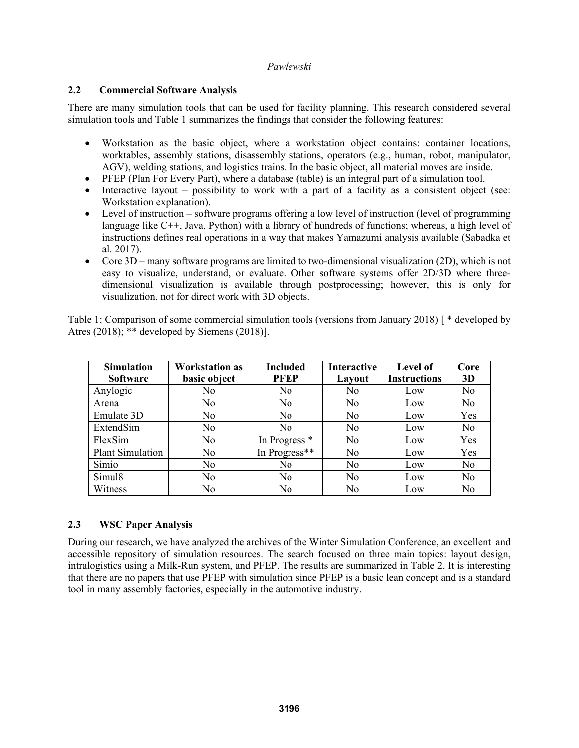# **2.2 Commercial Software Analysis**

There are many simulation tools that can be used for facility planning. This research considered several simulation tools and Table 1 summarizes the findings that consider the following features:

- Workstation as the basic object, where a workstation object contains: container locations, worktables, assembly stations, disassembly stations, operators (e.g., human, robot, manipulator, AGV), welding stations, and logistics trains. In the basic object, all material moves are inside.
- PFEP (Plan For Every Part), where a database (table) is an integral part of a simulation tool.
- $\bullet$  Interactive layout possibility to work with a part of a facility as a consistent object (see: Workstation explanation).
- Level of instruction software programs offering a low level of instruction (level of programming language like C++, Java, Python) with a library of hundreds of functions; whereas, a high level of instructions defines real operations in a way that makes Yamazumi analysis available (Sabadka et al. 2017).
- Core 3D many software programs are limited to two-dimensional visualization (2D), which is not easy to visualize, understand, or evaluate. Other software systems offer 2D/3D where threedimensional visualization is available through postprocessing; however, this is only for visualization, not for direct work with 3D objects.

Table 1: Comparison of some commercial simulation tools (versions from January 2018) [ \* developed by Atres (2018); \*\* developed by Siemens (2018)].

| <b>Simulation</b><br><b>Software</b> | <b>Workstation as</b><br>basic object | <b>Included</b><br><b>PFEP</b> | <b>Interactive</b><br>Layout | <b>Level of</b><br><b>Instructions</b> | Core<br>3D     |
|--------------------------------------|---------------------------------------|--------------------------------|------------------------------|----------------------------------------|----------------|
| Anylogic                             | N <sub>0</sub>                        | No                             | No                           | Low                                    | N <sub>0</sub> |
| Arena                                | No                                    | N <sub>0</sub>                 | N <sub>0</sub>               | Low                                    | N <sub>o</sub> |
| Emulate 3D                           | N <sub>0</sub>                        | N <sub>0</sub>                 | N <sub>0</sub>               | Low                                    | Yes            |
| ExtendSim                            | N <sub>o</sub>                        | N <sub>0</sub>                 | No                           | Low                                    | N <sub>0</sub> |
| FlexSim                              | N <sub>0</sub>                        | In Progress *                  | N <sub>0</sub>               | Low                                    | Yes            |
| <b>Plant Simulation</b>              | N <sub>0</sub>                        | In Progress**                  | N <sub>0</sub>               | Low                                    | Yes            |
| Simio                                | No.                                   | No                             | No                           | Low                                    | N <sub>0</sub> |
| Simul <sub>8</sub>                   | N <sub>0</sub>                        | N <sub>0</sub>                 | No                           | Low                                    | N <sub>0</sub> |
| Witness                              | N <sub>0</sub>                        | N <sub>0</sub>                 | N <sub>0</sub>               | Low                                    | N <sub>0</sub> |

# **2.3 WSC Paper Analysis**

During our research, we have analyzed the archives of the Winter Simulation Conference, an excellent and accessible repository of simulation resources. The search focused on three main topics: layout design, intralogistics using a Milk-Run system, and PFEP. The results are summarized in Table 2. It is interesting that there are no papers that use PFEP with simulation since PFEP is a basic lean concept and is a standard tool in many assembly factories, especially in the automotive industry.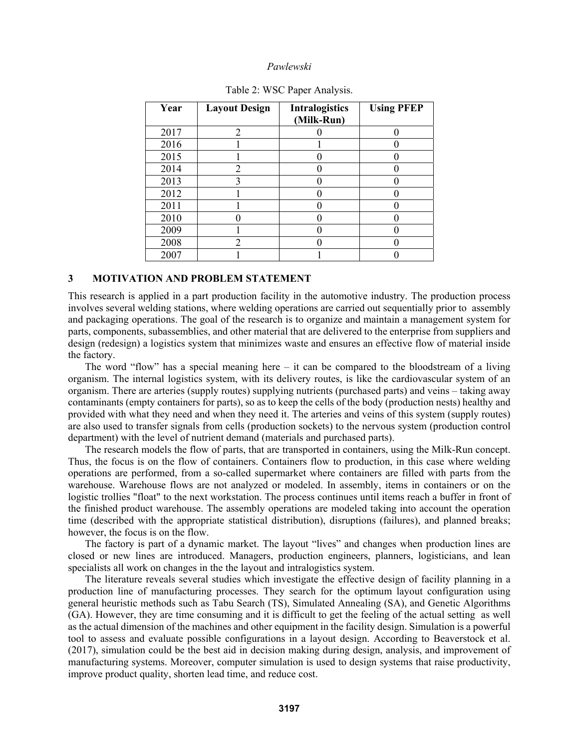| Year | <b>Layout Design</b> | <b>Intralogistics</b><br>(Milk-Run) | <b>Using PFEP</b> |
|------|----------------------|-------------------------------------|-------------------|
| 2017 | 2                    |                                     |                   |
| 2016 |                      |                                     |                   |
| 2015 |                      |                                     |                   |
| 2014 | 2                    |                                     |                   |
| 2013 | 3                    |                                     |                   |
| 2012 |                      |                                     |                   |
| 2011 |                      |                                     |                   |
| 2010 |                      |                                     |                   |
| 2009 |                      |                                     |                   |
| 2008 | 2                    |                                     |                   |
| 2007 |                      |                                     |                   |

|  |  |  | Table 2: WSC Paper Analysis. |
|--|--|--|------------------------------|
|--|--|--|------------------------------|

### **3 MOTIVATION AND PROBLEM STATEMENT**

This research is applied in a part production facility in the automotive industry. The production process involves several welding stations, where welding operations are carried out sequentially prior to assembly and packaging operations. The goal of the research is to organize and maintain a management system for parts, components, subassemblies, and other material that are delivered to the enterprise from suppliers and design (redesign) a logistics system that minimizes waste and ensures an effective flow of material inside the factory.

 The word "flow" has a special meaning here – it can be compared to the bloodstream of a living organism. The internal logistics system, with its delivery routes, is like the cardiovascular system of an organism. There are arteries (supply routes) supplying nutrients (purchased parts) and veins – taking away contaminants (empty containers for parts), so as to keep the cells of the body (production nests) healthy and provided with what they need and when they need it. The arteries and veins of this system (supply routes) are also used to transfer signals from cells (production sockets) to the nervous system (production control department) with the level of nutrient demand (materials and purchased parts).

 The research models the flow of parts, that are transported in containers, using the Milk-Run concept. Thus, the focus is on the flow of containers. Containers flow to production, in this case where welding operations are performed, from a so-called supermarket where containers are filled with parts from the warehouse. Warehouse flows are not analyzed or modeled. In assembly, items in containers or on the logistic trollies "float" to the next workstation. The process continues until items reach a buffer in front of the finished product warehouse. The assembly operations are modeled taking into account the operation time (described with the appropriate statistical distribution), disruptions (failures), and planned breaks; however, the focus is on the flow.

The factory is part of a dynamic market. The layout "lives" and changes when production lines are closed or new lines are introduced. Managers, production engineers, planners, logisticians, and lean specialists all work on changes in the the layout and intralogistics system.

The literature reveals several studies which investigate the effective design of facility planning in a production line of manufacturing processes. They search for the optimum layout configuration using general heuristic methods such as Tabu Search (TS), Simulated Annealing (SA), and Genetic Algorithms (GA). However, they are time consuming and it is difficult to get the feeling of the actual setting as well as the actual dimension of the machines and other equipment in the facility design. Simulation is a powerful tool to assess and evaluate possible configurations in a layout design. According to Beaverstock et al. (2017), simulation could be the best aid in decision making during design, analysis, and improvement of manufacturing systems. Moreover, computer simulation is used to design systems that raise productivity, improve product quality, shorten lead time, and reduce cost.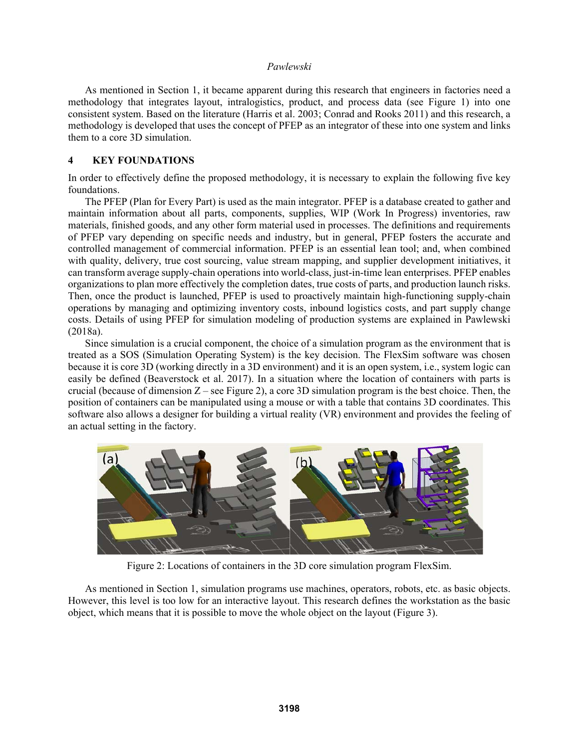As mentioned in Section 1, it became apparent during this research that engineers in factories need a methodology that integrates layout, intralogistics, product, and process data (see Figure 1) into one consistent system. Based on the literature (Harris et al. 2003; Conrad and Rooks 2011) and this research, a methodology is developed that uses the concept of PFEP as an integrator of these into one system and links them to a core 3D simulation.

# **4 KEY FOUNDATIONS**

In order to effectively define the proposed methodology, it is necessary to explain the following five key foundations.

 The PFEP (Plan for Every Part) is used as the main integrator. PFEP is a database created to gather and maintain information about all parts, components, supplies, WIP (Work In Progress) inventories, raw materials, finished goods, and any other form material used in processes. The definitions and requirements of PFEP vary depending on specific needs and industry, but in general, PFEP fosters the accurate and controlled management of commercial information. PFEP is an essential lean tool; and, when combined with quality, delivery, true cost sourcing, value stream mapping, and supplier development initiatives, it can transform average supply-chain operations into world-class, just-in-time lean enterprises. PFEP enables organizations to plan more effectively the completion dates, true costs of parts, and production launch risks. Then, once the product is launched, PFEP is used to proactively maintain high-functioning supply-chain operations by managing and optimizing inventory costs, inbound logistics costs, and part supply change costs. Details of using PFEP for simulation modeling of production systems are explained in Pawlewski (2018a).

Since simulation is a crucial component, the choice of a simulation program as the environment that is treated as a SOS (Simulation Operating System) is the key decision. The FlexSim software was chosen because it is core 3D (working directly in a 3D environment) and it is an open system, i.e., system logic can easily be defined (Beaverstock et al. 2017). In a situation where the location of containers with parts is crucial (because of dimension Z – see Figure 2), a core 3D simulation program is the best choice. Then, the position of containers can be manipulated using a mouse or with a table that contains 3D coordinates. This software also allows a designer for building a virtual reality (VR) environment and provides the feeling of an actual setting in the factory.



Figure 2: Locations of containers in the 3D core simulation program FlexSim.

As mentioned in Section 1, simulation programs use machines, operators, robots, etc. as basic objects. However, this level is too low for an interactive layout. This research defines the workstation as the basic object, which means that it is possible to move the whole object on the layout (Figure 3).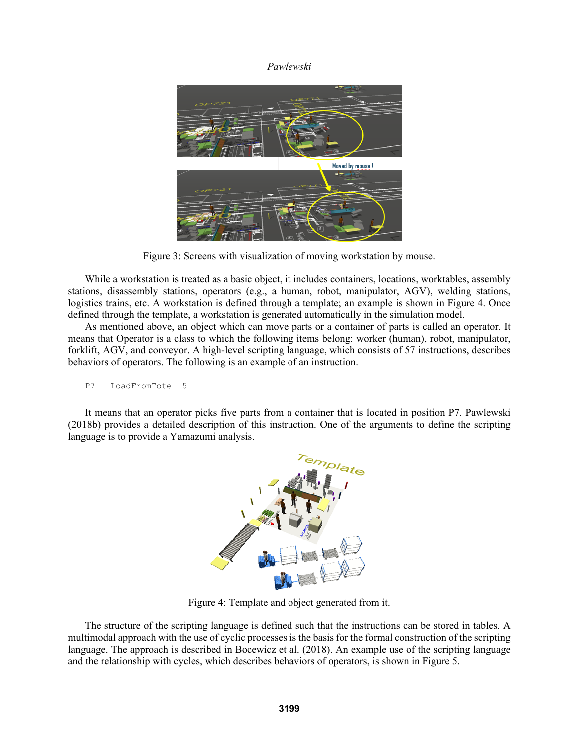

Figure 3: Screens with visualization of moving workstation by mouse.

 While a workstation is treated as a basic object, it includes containers, locations, worktables, assembly stations, disassembly stations, operators (e.g., a human, robot, manipulator, AGV), welding stations, logistics trains, etc. A workstation is defined through a template; an example is shown in Figure 4. Once defined through the template, a workstation is generated automatically in the simulation model.

 As mentioned above, an object which can move parts or a container of parts is called an operator. It means that Operator is a class to which the following items belong: worker (human), robot, manipulator, forklift, AGV, and conveyor. A high-level scripting language, which consists of 57 instructions, describes behaviors of operators. The following is an example of an instruction.

```
P7 LoadFromTote 5
```
 It means that an operator picks five parts from a container that is located in position P7. Pawlewski (2018b) provides a detailed description of this instruction. One of the arguments to define the scripting language is to provide a Yamazumi analysis.



Figure 4: Template and object generated from it.

The structure of the scripting language is defined such that the instructions can be stored in tables. A multimodal approach with the use of cyclic processes is the basis for the formal construction of the scripting language. The approach is described in Bocewicz et al. (2018). An example use of the scripting language and the relationship with cycles, which describes behaviors of operators, is shown in Figure 5.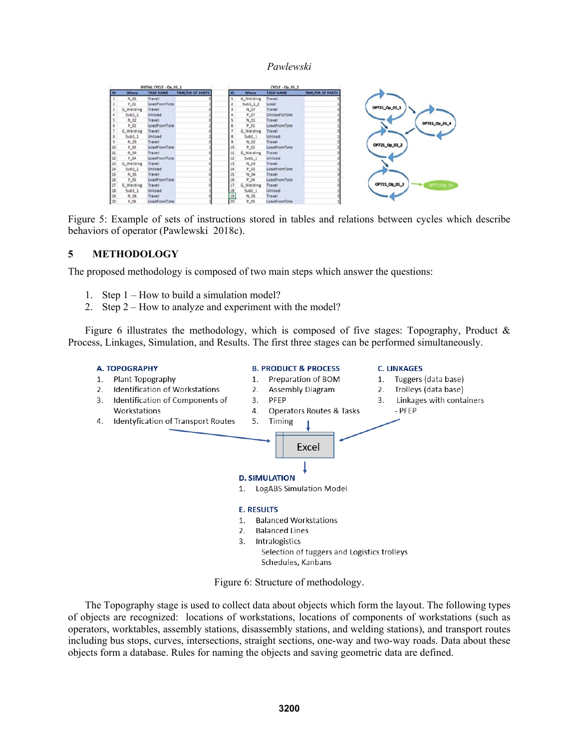|           | INITIAL CYCLE - Op 01 1 |                  | CYCLE - Op 01 2         |                 |                |                  |                         |
|-----------|-------------------------|------------------|-------------------------|-----------------|----------------|------------------|-------------------------|
| <b>ID</b> | <b>Where</b>            | <b>TASK NAME</b> | <b>TIME/NR OF PARTS</b> | <b>ID</b>       | <b>Where</b>   | <b>TASK NAME</b> | <b>TIME/NR OF PARTS</b> |
|           | N_01                    | Travel           |                         |                 | G. Welding     | Travel           |                         |
|           | P_01                    | LoadFromTote     |                         |                 | $Sub1_12$      | Load             |                         |
|           | G_Welding               | Travel           |                         |                 | N_07           | Travel           |                         |
|           | $5$ ub $1$ $1$          | Unload           |                         |                 | P_07           | UnioadToTote     |                         |
|           | N_02                    | Travel           |                         |                 | N_01           | Travel           |                         |
|           | $P_0$ 02                | LoadFromTote     |                         |                 | P_01           | LoadFromTote     |                         |
|           | G. Welding              | Travel           |                         |                 | G. Welding     | Travel           |                         |
|           | 5001.1                  | Unload           |                         |                 | $5ub1_1$       | Unload           |                         |
|           | N_03                    | Travel           |                         |                 | $N_0$ 02       | Travel           |                         |
| 10        | P_03                    | LoadFromTote     |                         |                 | P_02           | LoadFromTote     |                         |
| 11        | N.04                    | Travel           |                         |                 | G Welding      | Travel           |                         |
| 12        | P. 04                   | LoadFromTote     |                         |                 | 5 <i>ub1</i> 1 | Unload           |                         |
| 13        | G_Welding               | Travel           |                         |                 | N_03           | Travel           |                         |
| 14        | 50011                   | Unload           |                         |                 | P_03           | LoadFromTote     |                         |
| 15        | N <sub>05</sub>         | Travel           |                         |                 | N 04           | Travel           |                         |
| 16        | P 05                    | LoadFromTote     |                         |                 | P_04           | LoadFromTote     |                         |
| 17        | G_Welding               | Travel           |                         |                 | G Welding      | Travel           |                         |
| 18        | Sub11                   | Unload           |                         | ᅽ               | Sub11          | Unload           |                         |
| 19        | N_06                    | Travel           |                         | $\frac{19}{20}$ | N_05           | Travel           |                         |
| 120       | P. 06                   | LoadFromTote     |                         |                 | P 05           | LoadFromTote     |                         |

Figure 5: Example of sets of instructions stored in tables and relations between cycles which describe behaviors of operator (Pawlewski 2018c).

# **5 METHODOLOGY**

The proposed methodology is composed of two main steps which answer the questions:

- 1. Step 1 How to build a simulation model?
- 2. Step 2 How to analyze and experiment with the model?

Figure 6 illustrates the methodology, which is composed of five stages: Topography, Product  $\&$ Process, Linkages, Simulation, and Results. The first three stages can be performed simultaneously.



Figure 6: Structure of methodology.

Schedules, Kanbans

 The Topography stage is used to collect data about objects which form the layout. The following types of objects are recognized: locations of workstations, locations of components of workstations (such as operators, worktables, assembly stations, disassembly stations, and welding stations), and transport routes including bus stops, curves, intersections, straight sections, one-way and two-way roads. Data about these objects form a database. Rules for naming the objects and saving geometric data are defined.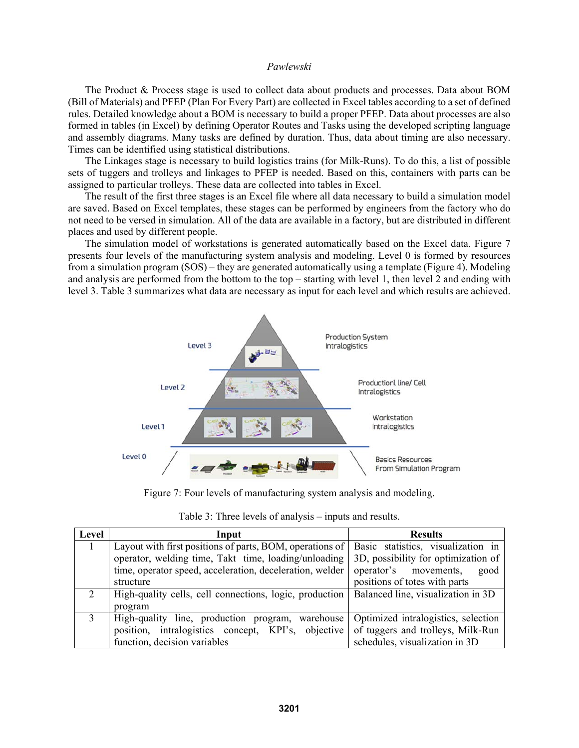The Product & Process stage is used to collect data about products and processes. Data about BOM (Bill of Materials) and PFEP (Plan For Every Part) are collected in Excel tables according to a set of defined rules. Detailed knowledge about a BOM is necessary to build a proper PFEP. Data about processes are also formed in tables (in Excel) by defining Operator Routes and Tasks using the developed scripting language and assembly diagrams. Many tasks are defined by duration. Thus, data about timing are also necessary. Times can be identified using statistical distributions.

The Linkages stage is necessary to build logistics trains (for Milk-Runs). To do this, a list of possible sets of tuggers and trolleys and linkages to PFEP is needed. Based on this, containers with parts can be assigned to particular trolleys. These data are collected into tables in Excel.

The result of the first three stages is an Excel file where all data necessary to build a simulation model are saved. Based on Excel templates, these stages can be performed by engineers from the factory who do not need to be versed in simulation. All of the data are available in a factory, but are distributed in different places and used by different people.

The simulation model of workstations is generated automatically based on the Excel data. Figure 7 presents four levels of the manufacturing system analysis and modeling. Level 0 is formed by resources from a simulation program (SOS) – they are generated automatically using a template (Figure 4). Modeling and analysis are performed from the bottom to the top – starting with level 1, then level 2 and ending with level 3. Table 3 summarizes what data are necessary as input for each level and which results are achieved.



Figure 7: Four levels of manufacturing system analysis and modeling.

| Level         | Input                                                    | <b>Results</b>                      |  |
|---------------|----------------------------------------------------------|-------------------------------------|--|
|               | Layout with first positions of parts, BOM, operations of | Basic statistics, visualization in  |  |
|               | operator, welding time, Takt time, loading/unloading     | 3D, possibility for optimization of |  |
|               | time, operator speed, acceleration, deceleration, welder | operator's movements,<br>good       |  |
|               | structure                                                | positions of totes with parts       |  |
| $\mathcal{L}$ | High-quality cells, cell connections, logic, production  | Balanced line, visualization in 3D  |  |
|               | program                                                  |                                     |  |
| 3             | High-quality line, production program, warehouse         | Optimized intralogistics, selection |  |
|               | position, intralogistics concept, KPI's, objective       | of tuggers and trolleys, Milk-Run   |  |
|               | function, decision variables                             | schedules, visualization in 3D      |  |

Table 3: Three levels of analysis – inputs and results.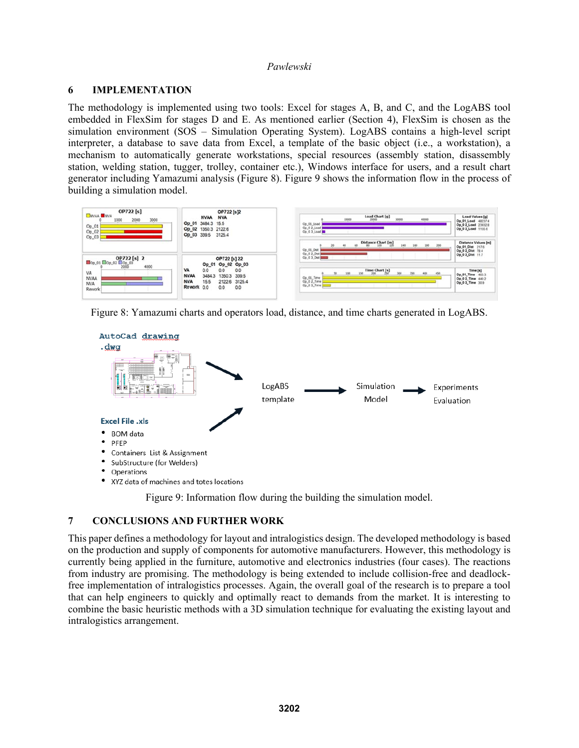# **6 IMPLEMENTATION**

The methodology is implemented using two tools: Excel for stages A, B, and C, and the LogABS tool embedded in FlexSim for stages D and E. As mentioned earlier (Section 4), FlexSim is chosen as the simulation environment (SOS – Simulation Operating System). LogABS contains a high-level script interpreter, a database to save data from Excel, a template of the basic object (i.e., a workstation), a mechanism to automatically generate workstations, special resources (assembly station, disassembly station, welding station, tugger, trolley, container etc.), Windows interface for users, and a result chart generator including Yamazumi analysis (Figure 8). Figure 9 shows the information flow in the process of building a simulation model.



Figure 8: Yamazumi charts and operators load, distance, and time charts generated in LogABS.



Figure 9: Information flow during the building the simulation model.

# **7 CONCLUSIONS AND FURTHER WORK**

This paper defines a methodology for layout and intralogistics design. The developed methodology is based on the production and supply of components for automotive manufacturers. However, this methodology is currently being applied in the furniture, automotive and electronics industries (four cases). The reactions from industry are promising. The methodology is being extended to include collision-free and deadlockfree implementation of intralogistics processes. Again, the overall goal of the research is to prepare a tool that can help engineers to quickly and optimally react to demands from the market. It is interesting to combine the basic heuristic methods with a 3D simulation technique for evaluating the existing layout and intralogistics arrangement.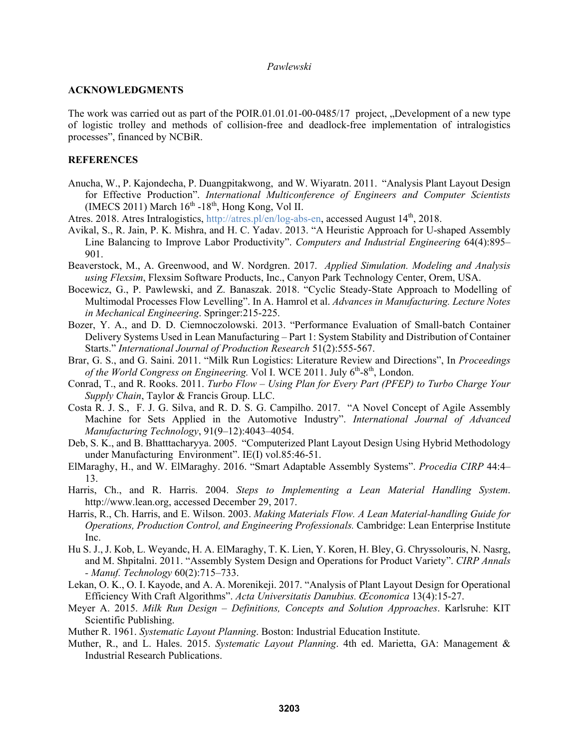### **ACKNOWLEDGMENTS**

The work was carried out as part of the POIR.01.01.01-00-0485/17 project, "Development of a new type of logistic trolley and methods of collision-free and deadlock-free implementation of intralogistics processes", financed by NCBiR.

### **REFERENCES**

- Anucha, W., P. Kajondecha, P. Duangpitakwong, and W. Wiyaratn. 2011. "Analysis Plant Layout Design for Effective Production". *International Multiconference of Engineers and Computer Scientists* (IMECS 2011) March  $16<sup>th</sup> -18<sup>th</sup>$ , Hong Kong, Vol II.
- Atres. 2018. Atres Intralogistics, http://atres.pl/en/log-abs-en, accessed August 14<sup>th</sup>, 2018.
- Avikal, S., R. Jain, P. K. Mishra, and H. C. Yadav. 2013. "A Heuristic Approach for U-shaped Assembly Line Balancing to Improve Labor Productivity". *Computers and Industrial Engineering* 64(4):895– 901.
- Beaverstock, M., A. Greenwood, and W. Nordgren. 2017. *Applied Simulation. Modeling and Analysis using Flexsim*, Flexsim Software Products, Inc., Canyon Park Technology Center, Orem, USA.
- Bocewicz, G., P. Pawlewski, and Z. Banaszak. 2018. "Cyclic Steady-State Approach to Modelling of Multimodal Processes Flow Levelling". In A. Hamrol et al. *Advances in Manufacturing. Lecture Notes in Mechanical Engineering*. Springer:215-225.
- Bozer, Y. A., and D. D. Ciemnoczolowski. 2013. "Performance Evaluation of Small-batch Container Delivery Systems Used in Lean Manufacturing – Part 1: System Stability and Distribution of Container Starts." *International Journal of Production Research* 51(2):555-567.
- Brar, G. S., and G. Saini. 2011. "Milk Run Logistics: Literature Review and Directions", In *Proceedings*  of the World Congress on Engineering. Vol I. WCE 2011. July 6<sup>th</sup>-8<sup>th</sup>, London.
- Conrad, T., and R. Rooks. 2011. *Turbo Flow Using Plan for Every Part (PFEP) to Turbo Charge Your Supply Chain*, Taylor & Francis Group. LLC.
- Costa R. J. S., F. J. G. Silva, and R. D. S. G. Campilho. 2017. "A Novel Concept of Agile Assembly Machine for Sets Applied in the Automotive Industry". *International Journal of Advanced Manufacturing Technology*, 91(9–12):4043–4054.
- Deb, S. K., and B. Bhatttacharyya. 2005. "Computerized Plant Layout Design Using Hybrid Methodology under Manufacturing Environment". IE(I) vol.85:46-51.
- ElMaraghy, H., and W. ElMaraghy. 2016. "Smart Adaptable Assembly Systems". *Procedia CIRP* 44:4– 13.
- Harris, Ch., and R. Harris. 2004. *Steps to Implementing a Lean Material Handling System*. http://www.lean.org, accessed December 29, 2017.
- Harris, R., Ch. Harris, and E. Wilson. 2003. *Making Materials Flow. A Lean Material-handling Guide for Operations, Production Control, and Engineering Professionals.* Cambridge: Lean Enterprise Institute Inc.
- Hu S. J., J. Kob, L. Weyandc, H. A. ElMaraghy, T. K. Lien, Y. Koren, H. Bley, G. Chryssolouris, N. Nasrg, and M. Shpitalni. 2011. "Assembly System Design and Operations for Product Variety". *CIRP Annals - Manuf. Technology* 60(2):715–733.
- Lekan, O. K., O. I. Kayode, and A. A. Morenikeji. 2017. "Analysis of Plant Layout Design for Operational Efficiency With Craft Algorithms". *Acta Universitatis Danubius. Œconomica* 13(4):15-27.
- Meyer A. 2015. *Milk Run Design Definitions, Concepts and Solution Approaches*. Karlsruhe: KIT Scientific Publishing.
- Muther R. 1961. *Systematic Layout Planning*. Boston: Industrial Education Institute.
- Muther, R., and L. Hales. 2015. *Systematic Layout Planning*. 4th ed. Marietta, GA: Management & Industrial Research Publications.